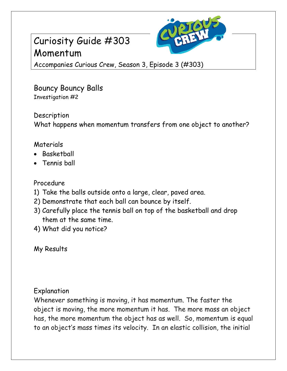# Curiosity Guide #303 Momentum



Accompanies Curious Crew, Season 3, Episode 3 (#303)

Bouncy Bouncy Balls Investigation #2

Description What happens when momentum transfers from one object to another?

### Materials

- Basketball
- Tennis ball

### Procedure

- 1) Take the balls outside onto a large, clear, paved area.
- 2) Demonstrate that each ball can bounce by itself.
- 3) Carefully place the tennis ball on top of the basketball and drop them at the same time.
- 4) What did you notice?

My Results

#### Explanation

Whenever something is moving, it has momentum. The faster the object is moving, the more momentum it has. The more mass an object has, the more momentum the object has as well. So, momentum is equal to an object's mass times its velocity. In an elastic collision, the initial